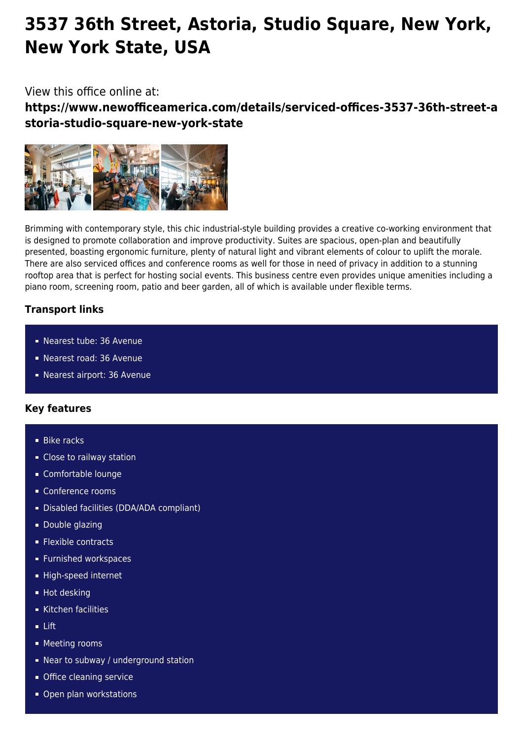# **3537 36th Street, Astoria, Studio Square, New York, New York State, USA**

## View this office online at:

**https://www.newofficeamerica.com/details/serviced-offices-3537-36th-street-a storia-studio-square-new-york-state**



Brimming with contemporary style, this chic industrial-style building provides a creative co-working environment that is designed to promote collaboration and improve productivity. Suites are spacious, open-plan and beautifully presented, boasting ergonomic furniture, plenty of natural light and vibrant elements of colour to uplift the morale. There are also serviced offices and conference rooms as well for those in need of privacy in addition to a stunning rooftop area that is perfect for hosting social events. This business centre even provides unique amenities including a piano room, screening room, patio and beer garden, all of which is available under flexible terms.

### **Transport links**

- Nearest tube: 36 Avenue
- Nearest road: 36 Avenue
- Nearest airport: 36 Avenue

### **Key features**

- **Bike racks**
- **Close to railway station**
- Comfortable lounge
- Conference rooms
- Disabled facilities (DDA/ADA compliant)
- **Double glazing**
- **Flexible contracts**
- **Furnished workspaces**
- High-speed internet
- **Hot desking**
- Kitchen facilities
- Lift
- **Meeting rooms**
- Near to subway / underground station
- **Office cleaning service**
- Open plan workstations